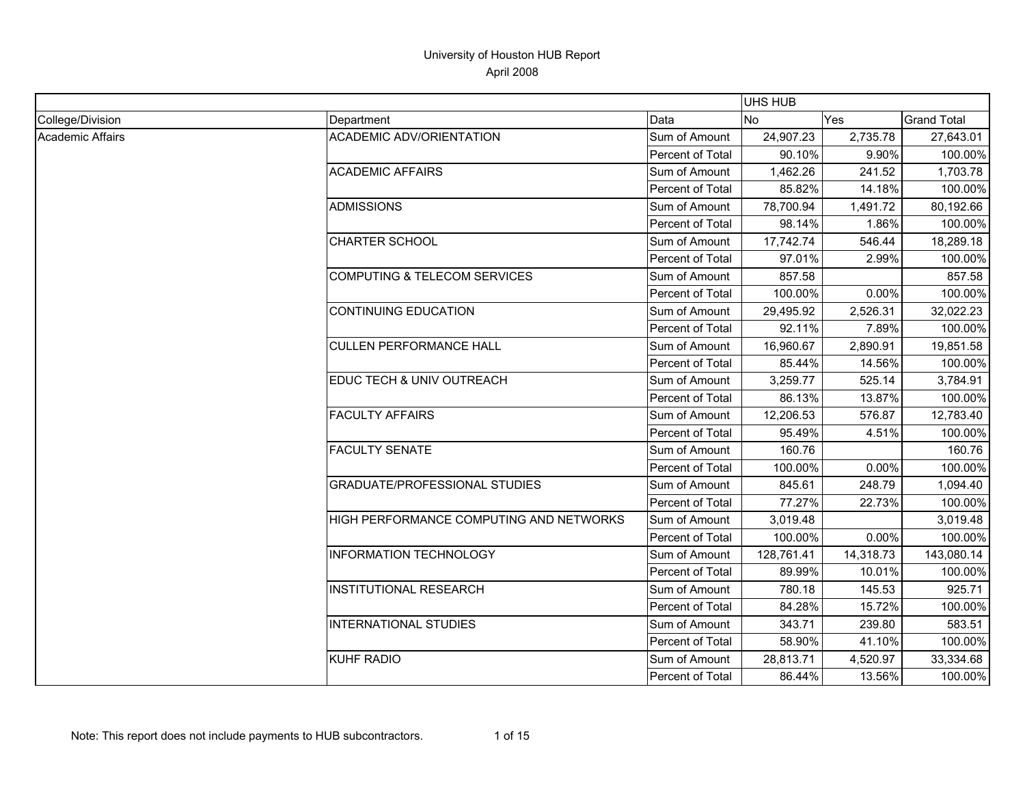|                  |                                         |                  | <b>UHS HUB</b> |            |                    |
|------------------|-----------------------------------------|------------------|----------------|------------|--------------------|
| College/Division | Department                              | Data             | <b>No</b>      | <b>Yes</b> | <b>Grand Total</b> |
| Academic Affairs | <b>ACADEMIC ADV/ORIENTATION</b>         | Sum of Amount    | 24,907.23      | 2,735.78   | 27,643.01          |
|                  |                                         | Percent of Total | 90.10%         | 9.90%      | 100.00%            |
|                  | <b>ACADEMIC AFFAIRS</b>                 | Sum of Amount    | 1,462.26       | 241.52     | 1,703.78           |
|                  |                                         | Percent of Total | 85.82%         | 14.18%     | 100.00%            |
|                  | ADMISSIONS                              | Sum of Amount    | 78,700.94      | 1,491.72   | 80,192.66          |
|                  |                                         | Percent of Total | 98.14%         | 1.86%      | 100.00%            |
|                  | <b>CHARTER SCHOOL</b>                   | Sum of Amount    | 17,742.74      | 546.44     | 18,289.18          |
|                  |                                         | Percent of Total | 97.01%         | 2.99%      | 100.00%            |
|                  | COMPUTING & TELECOM SERVICES            | Sum of Amount    | 857.58         |            | 857.58             |
|                  |                                         | Percent of Total | 100.00%        | 0.00%      | 100.00%            |
|                  | <b>CONTINUING EDUCATION</b>             | Sum of Amount    | 29,495.92      | 2,526.31   | 32,022.23          |
|                  |                                         | Percent of Total | 92.11%         | 7.89%      | 100.00%            |
|                  | <b>CULLEN PERFORMANCE HALL</b>          | Sum of Amount    | 16,960.67      | 2,890.91   | 19,851.58          |
|                  |                                         | Percent of Total | 85.44%         | 14.56%     | 100.00%            |
|                  | EDUC TECH & UNIV OUTREACH               | Sum of Amount    | 3,259.77       | 525.14     | 3,784.91           |
|                  |                                         | Percent of Total | 86.13%         | 13.87%     | 100.00%            |
|                  | <b>FACULTY AFFAIRS</b>                  | Sum of Amount    | 12,206.53      | 576.87     | 12,783.40          |
|                  |                                         | Percent of Total | 95.49%         | 4.51%      | 100.00%            |
|                  | <b>FACULTY SENATE</b>                   | Sum of Amount    | 160.76         |            | 160.76             |
|                  |                                         | Percent of Total | 100.00%        | 0.00%      | 100.00%            |
|                  | <b>GRADUATE/PROFESSIONAL STUDIES</b>    | Sum of Amount    | 845.61         | 248.79     | 1,094.40           |
|                  |                                         | Percent of Total | 77.27%         | 22.73%     | 100.00%            |
|                  | HIGH PERFORMANCE COMPUTING AND NETWORKS | Sum of Amount    | 3,019.48       |            | 3,019.48           |
|                  |                                         | Percent of Total | 100.00%        | 0.00%      | 100.00%            |
|                  | INFORMATION TECHNOLOGY                  | Sum of Amount    | 128,761.41     | 14,318.73  | 143,080.14         |
|                  |                                         | Percent of Total | 89.99%         | 10.01%     | 100.00%            |
|                  | <b>INSTITUTIONAL RESEARCH</b>           | Sum of Amount    | 780.18         | 145.53     | 925.71             |
|                  |                                         | Percent of Total | 84.28%         | 15.72%     | 100.00%            |
|                  | <b>INTERNATIONAL STUDIES</b>            | Sum of Amount    | 343.71         | 239.80     | 583.51             |
|                  |                                         | Percent of Total | 58.90%         | 41.10%     | 100.00%            |
|                  | <b>KUHF RADIO</b>                       | Sum of Amount    | 28,813.71      | 4,520.97   | 33,334.68          |
|                  |                                         | Percent of Total | 86.44%         | 13.56%     | 100.00%            |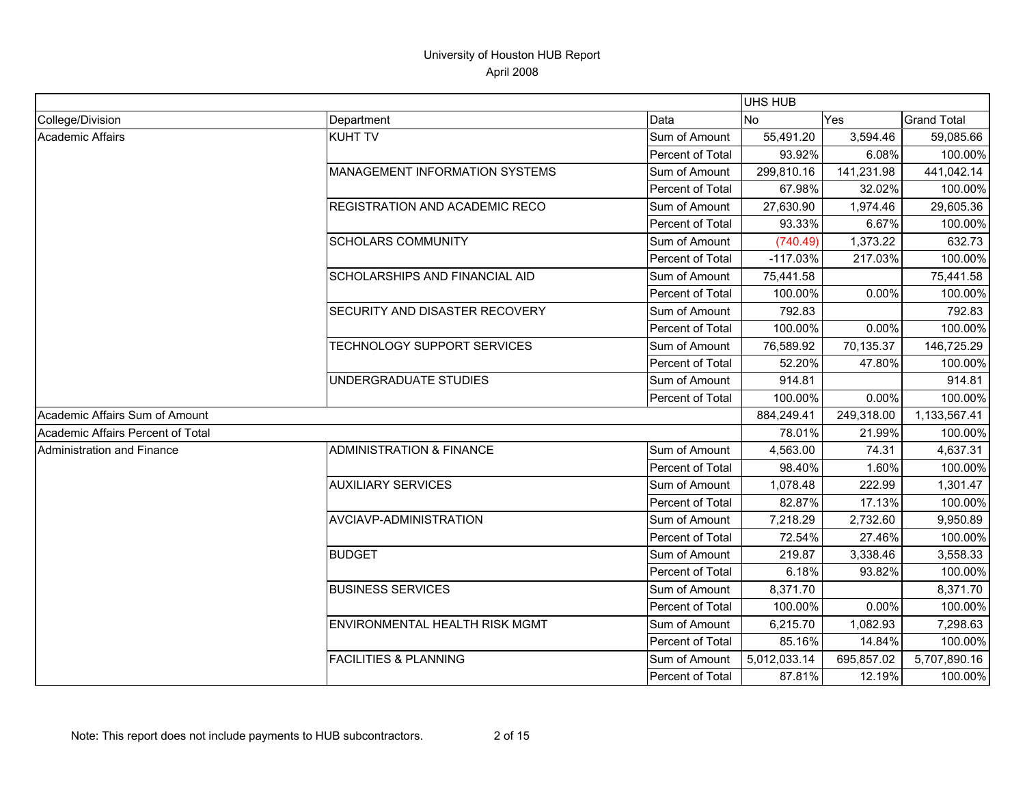|                                   |                                       |                         | <b>UHS HUB</b> |            |                    |
|-----------------------------------|---------------------------------------|-------------------------|----------------|------------|--------------------|
| College/Division                  | Department                            | Data                    | No             | Yes        | <b>Grand Total</b> |
| Academic Affairs                  | <b>KUHT TV</b>                        | Sum of Amount           | 55,491.20      | 3,594.46   | 59,085.66          |
|                                   |                                       | <b>Percent of Total</b> | 93.92%         | 6.08%      | 100.00%            |
|                                   | <b>MANAGEMENT INFORMATION SYSTEMS</b> | Sum of Amount           | 299,810.16     | 141,231.98 | 441,042.14         |
|                                   |                                       | Percent of Total        | 67.98%         | 32.02%     | 100.00%            |
|                                   | REGISTRATION AND ACADEMIC RECO        | Sum of Amount           | 27,630.90      | 1,974.46   | 29,605.36          |
|                                   |                                       | Percent of Total        | 93.33%         | 6.67%      | 100.00%            |
|                                   | <b>SCHOLARS COMMUNITY</b>             | Sum of Amount           | (740.49)       | 1,373.22   | 632.73             |
|                                   |                                       | Percent of Total        | $-117.03%$     | 217.03%    | 100.00%            |
|                                   | SCHOLARSHIPS AND FINANCIAL AID        | Sum of Amount           | 75,441.58      |            | 75,441.58          |
|                                   |                                       | Percent of Total        | 100.00%        | 0.00%      | 100.00%            |
|                                   | SECURITY AND DISASTER RECOVERY        | Sum of Amount           | 792.83         |            | 792.83             |
|                                   |                                       | Percent of Total        | 100.00%        | 0.00%      | 100.00%            |
|                                   | TECHNOLOGY SUPPORT SERVICES           | Sum of Amount           | 76,589.92      | 70,135.37  | 146,725.29         |
|                                   |                                       | Percent of Total        | 52.20%         | 47.80%     | 100.00%            |
|                                   | UNDERGRADUATE STUDIES                 | Sum of Amount           | 914.81         |            | 914.81             |
|                                   |                                       | Percent of Total        | 100.00%        | 0.00%      | 100.00%            |
| Academic Affairs Sum of Amount    |                                       |                         | 884,249.41     | 249,318.00 | 1,133,567.41       |
| Academic Affairs Percent of Total |                                       |                         | 78.01%         | 21.99%     | 100.00%            |
| Administration and Finance        | <b>ADMINISTRATION &amp; FINANCE</b>   | Sum of Amount           | 4,563.00       | 74.31      | 4,637.31           |
|                                   |                                       | Percent of Total        | 98.40%         | 1.60%      | 100.00%            |
|                                   | <b>AUXILIARY SERVICES</b>             | Sum of Amount           | 1,078.48       | 222.99     | 1,301.47           |
|                                   |                                       | Percent of Total        | 82.87%         | 17.13%     | 100.00%            |
|                                   | AVCIAVP-ADMINISTRATION                | Sum of Amount           | 7,218.29       | 2,732.60   | 9,950.89           |
|                                   |                                       | Percent of Total        | 72.54%         | 27.46%     | 100.00%            |
|                                   | <b>BUDGET</b>                         | Sum of Amount           | 219.87         | 3,338.46   | 3,558.33           |
|                                   |                                       | Percent of Total        | 6.18%          | 93.82%     | 100.00%            |
|                                   | <b>BUSINESS SERVICES</b>              | Sum of Amount           | 8,371.70       |            | 8,371.70           |
|                                   |                                       | Percent of Total        | 100.00%        | 0.00%      | 100.00%            |
|                                   | ENVIRONMENTAL HEALTH RISK MGMT        | Sum of Amount           | 6,215.70       | 1,082.93   | 7,298.63           |
|                                   |                                       | Percent of Total        | 85.16%         | 14.84%     | 100.00%            |
|                                   | <b>FACILITIES &amp; PLANNING</b>      | Sum of Amount           | 5,012,033.14   | 695,857.02 | 5,707,890.16       |
|                                   |                                       | Percent of Total        | 87.81%         | 12.19%     | 100.00%            |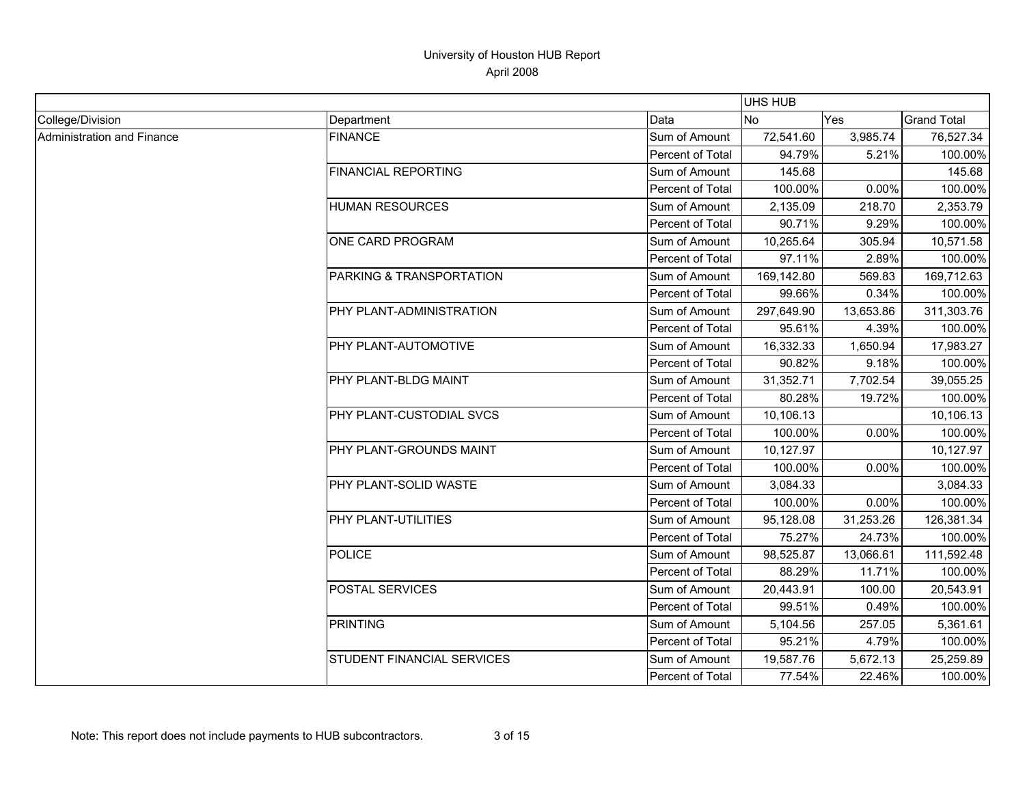|                            |                            |                  | UHS HUB    |           |                    |
|----------------------------|----------------------------|------------------|------------|-----------|--------------------|
| College/Division           | Department                 | Data             | No.        | Yes       | <b>Grand Total</b> |
| Administration and Finance | <b>FINANCE</b>             | Sum of Amount    | 72,541.60  | 3,985.74  | 76,527.34          |
|                            |                            | Percent of Total | 94.79%     | 5.21%     | 100.00%            |
|                            | <b>FINANCIAL REPORTING</b> | Sum of Amount    | 145.68     |           | 145.68             |
|                            |                            | Percent of Total | 100.00%    | 0.00%     | 100.00%            |
|                            | <b>HUMAN RESOURCES</b>     | Sum of Amount    | 2,135.09   | 218.70    | 2,353.79           |
|                            |                            | Percent of Total | 90.71%     | 9.29%     | 100.00%            |
|                            | ONE CARD PROGRAM           | Sum of Amount    | 10,265.64  | 305.94    | 10,571.58          |
|                            |                            | Percent of Total | 97.11%     | 2.89%     | 100.00%            |
|                            | PARKING & TRANSPORTATION   | Sum of Amount    | 169,142.80 | 569.83    | 169,712.63         |
|                            |                            | Percent of Total | 99.66%     | 0.34%     | 100.00%            |
|                            | PHY PLANT-ADMINISTRATION   | Sum of Amount    | 297,649.90 | 13,653.86 | 311,303.76         |
|                            |                            | Percent of Total | 95.61%     | 4.39%     | 100.00%            |
|                            | PHY PLANT-AUTOMOTIVE       | Sum of Amount    | 16,332.33  | 1,650.94  | 17,983.27          |
|                            |                            | Percent of Total | 90.82%     | 9.18%     | 100.00%            |
|                            | PHY PLANT-BLDG MAINT       | Sum of Amount    | 31,352.71  | 7,702.54  | 39,055.25          |
|                            |                            | Percent of Total | 80.28%     | 19.72%    | 100.00%            |
|                            | PHY PLANT-CUSTODIAL SVCS   | Sum of Amount    | 10,106.13  |           | 10,106.13          |
|                            |                            | Percent of Total | 100.00%    | 0.00%     | 100.00%            |
|                            | PHY PLANT-GROUNDS MAINT    | Sum of Amount    | 10,127.97  |           | 10,127.97          |
|                            |                            | Percent of Total | 100.00%    | 0.00%     | 100.00%            |
|                            | PHY PLANT-SOLID WASTE      | Sum of Amount    | 3,084.33   |           | 3,084.33           |
|                            |                            | Percent of Total | 100.00%    | 0.00%     | 100.00%            |
|                            | PHY PLANT-UTILITIES        | Sum of Amount    | 95,128.08  | 31,253.26 | 126,381.34         |
|                            |                            | Percent of Total | 75.27%     | 24.73%    | 100.00%            |
|                            | <b>POLICE</b>              | Sum of Amount    | 98,525.87  | 13,066.61 | 111,592.48         |
|                            |                            | Percent of Total | 88.29%     | 11.71%    | 100.00%            |
|                            | POSTAL SERVICES            | Sum of Amount    | 20,443.91  | 100.00    | 20,543.91          |
|                            |                            | Percent of Total | 99.51%     | 0.49%     | 100.00%            |
|                            | <b>PRINTING</b>            | Sum of Amount    | 5,104.56   | 257.05    | 5,361.61           |
|                            |                            | Percent of Total | 95.21%     | 4.79%     | 100.00%            |
|                            | STUDENT FINANCIAL SERVICES | Sum of Amount    | 19,587.76  | 5,672.13  | 25,259.89          |
|                            |                            | Percent of Total | 77.54%     | 22.46%    | 100.00%            |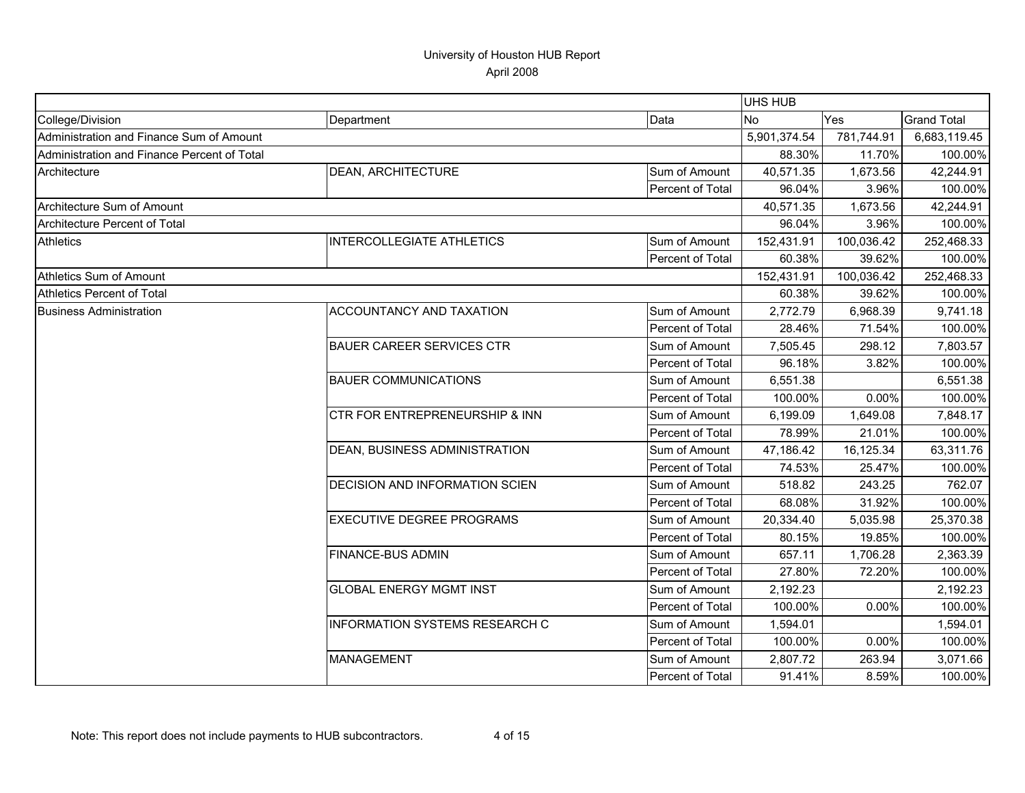|                                             |                                       |                  | UHS HUB      |            |                    |
|---------------------------------------------|---------------------------------------|------------------|--------------|------------|--------------------|
| College/Division                            | Department                            | Data             | N٥           | Yes        | <b>Grand Total</b> |
| Administration and Finance Sum of Amount    |                                       |                  | 5,901,374.54 | 781,744.91 | 6,683,119.45       |
| Administration and Finance Percent of Total |                                       |                  | 88.30%       | 11.70%     | 100.00%            |
| Architecture                                | DEAN, ARCHITECTURE                    | Sum of Amount    | 40,571.35    | 1,673.56   | 42,244.91          |
|                                             |                                       | Percent of Total | 96.04%       | 3.96%      | 100.00%            |
| Architecture Sum of Amount                  |                                       |                  | 40,571.35    | 1,673.56   | 42,244.91          |
| Architecture Percent of Total               |                                       |                  | 96.04%       | 3.96%      | 100.00%            |
| <b>Athletics</b>                            | <b>INTERCOLLEGIATE ATHLETICS</b>      | Sum of Amount    | 152,431.91   | 100,036.42 | 252,468.33         |
|                                             |                                       | Percent of Total | 60.38%       | 39.62%     | 100.00%            |
| Athletics Sum of Amount                     |                                       |                  | 152,431.91   | 100,036.42 | 252,468.33         |
| <b>Athletics Percent of Total</b>           |                                       |                  | 60.38%       | 39.62%     | 100.00%            |
| <b>Business Administration</b>              | ACCOUNTANCY AND TAXATION              | Sum of Amount    | 2,772.79     | 6,968.39   | 9,741.18           |
|                                             |                                       | Percent of Total | 28.46%       | 71.54%     | 100.00%            |
|                                             | <b>BAUER CAREER SERVICES CTR</b>      | Sum of Amount    | 7,505.45     | 298.12     | 7,803.57           |
|                                             |                                       | Percent of Total | 96.18%       | 3.82%      | 100.00%            |
|                                             | <b>BAUER COMMUNICATIONS</b>           | Sum of Amount    | 6,551.38     |            | 6,551.38           |
|                                             |                                       | Percent of Total | 100.00%      | 0.00%      | 100.00%            |
|                                             | CTR FOR ENTREPRENEURSHIP & INN        | Sum of Amount    | 6,199.09     | 1,649.08   | 7,848.17           |
|                                             |                                       | Percent of Total | 78.99%       | 21.01%     | 100.00%            |
|                                             | DEAN, BUSINESS ADMINISTRATION         | Sum of Amount    | 47,186.42    | 16,125.34  | 63,311.76          |
|                                             |                                       | Percent of Total | 74.53%       | 25.47%     | 100.00%            |
|                                             | <b>DECISION AND INFORMATION SCIEN</b> | Sum of Amount    | 518.82       | 243.25     | 762.07             |
|                                             |                                       | Percent of Total | 68.08%       | 31.92%     | 100.00%            |
|                                             | <b>EXECUTIVE DEGREE PROGRAMS</b>      | Sum of Amount    | 20,334.40    | 5,035.98   | 25,370.38          |
|                                             |                                       | Percent of Total | 80.15%       | 19.85%     | 100.00%            |
|                                             | <b>FINANCE-BUS ADMIN</b>              | Sum of Amount    | 657.11       | 1,706.28   | 2,363.39           |
|                                             |                                       | Percent of Total | 27.80%       | 72.20%     | 100.00%            |
|                                             | <b>GLOBAL ENERGY MGMT INST</b>        | Sum of Amount    | 2,192.23     |            | 2,192.23           |
|                                             |                                       | Percent of Total | 100.00%      | 0.00%      | 100.00%            |
|                                             | INFORMATION SYSTEMS RESEARCH C        | Sum of Amount    | 1,594.01     |            | 1,594.01           |
|                                             |                                       | Percent of Total | 100.00%      | 0.00%      | 100.00%            |
|                                             | <b>MANAGEMENT</b>                     | Sum of Amount    | 2,807.72     | 263.94     | 3,071.66           |
|                                             |                                       | Percent of Total | 91.41%       | 8.59%      | 100.00%            |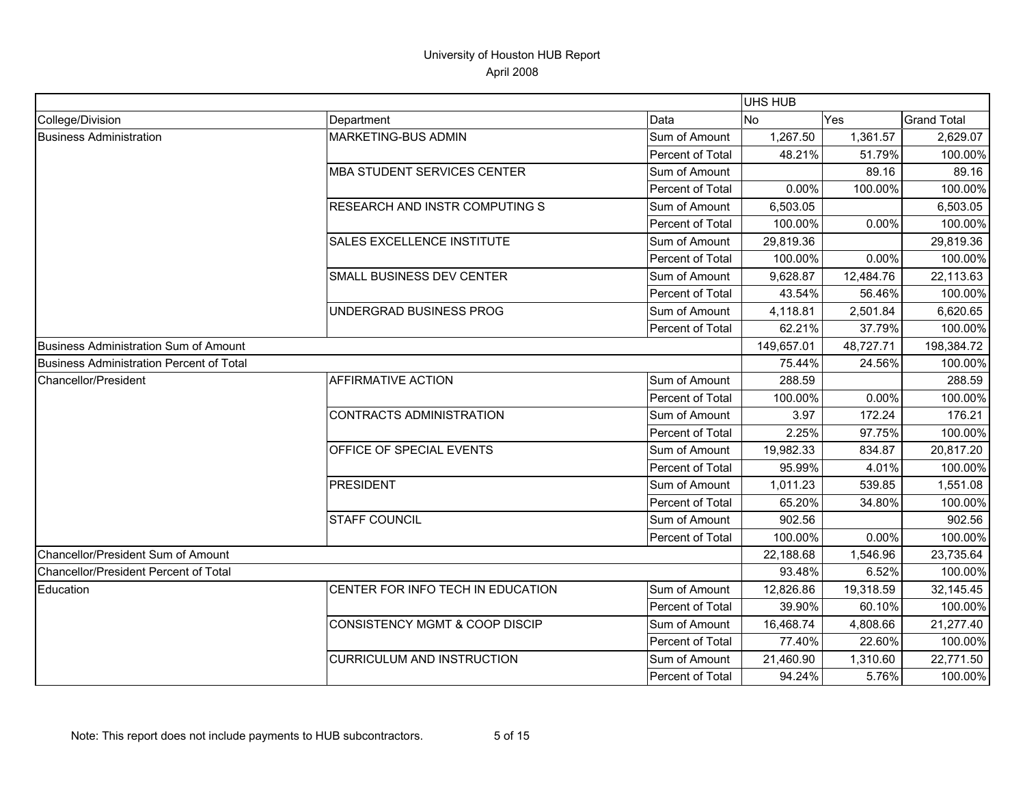|                                          |                                           |                  | UHS HUB    |           |                    |
|------------------------------------------|-------------------------------------------|------------------|------------|-----------|--------------------|
| College/Division                         | Department                                | Data             | No.        | Yes       | <b>Grand Total</b> |
| <b>Business Administration</b>           | MARKETING-BUS ADMIN                       | Sum of Amount    | 1,267.50   | 1,361.57  | 2,629.07           |
|                                          |                                           | Percent of Total | 48.21%     | 51.79%    | 100.00%            |
|                                          | <b>MBA STUDENT SERVICES CENTER</b>        | Sum of Amount    |            | 89.16     | 89.16              |
|                                          |                                           | Percent of Total | 0.00%      | 100.00%   | 100.00%            |
|                                          | <b>RESEARCH AND INSTR COMPUTING S</b>     | Sum of Amount    | 6,503.05   |           | 6,503.05           |
|                                          |                                           | Percent of Total | 100.00%    | 0.00%     | 100.00%            |
|                                          | SALES EXCELLENCE INSTITUTE                | Sum of Amount    | 29,819.36  |           | 29,819.36          |
|                                          |                                           | Percent of Total | 100.00%    | 0.00%     | 100.00%            |
|                                          | <b>SMALL BUSINESS DEV CENTER</b>          | Sum of Amount    | 9,628.87   | 12,484.76 | 22,113.63          |
|                                          |                                           | Percent of Total | 43.54%     | 56.46%    | 100.00%            |
|                                          | UNDERGRAD BUSINESS PROG                   | Sum of Amount    | 4,118.81   | 2,501.84  | 6,620.65           |
|                                          |                                           | Percent of Total | 62.21%     | 37.79%    | 100.00%            |
| Business Administration Sum of Amount    |                                           |                  | 149,657.01 | 48,727.71 | 198,384.72         |
| Business Administration Percent of Total |                                           |                  | 75.44%     | 24.56%    | 100.00%            |
| Chancellor/President                     | <b>AFFIRMATIVE ACTION</b>                 | Sum of Amount    | 288.59     |           | 288.59             |
|                                          |                                           | Percent of Total | 100.00%    | 0.00%     | 100.00%            |
|                                          | CONTRACTS ADMINISTRATION                  | Sum of Amount    | 3.97       | 172.24    | 176.21             |
|                                          |                                           | Percent of Total | 2.25%      | 97.75%    | 100.00%            |
|                                          | OFFICE OF SPECIAL EVENTS                  | Sum of Amount    | 19,982.33  | 834.87    | 20,817.20          |
|                                          |                                           | Percent of Total | 95.99%     | 4.01%     | 100.00%            |
|                                          | <b>PRESIDENT</b>                          | Sum of Amount    | 1,011.23   | 539.85    | 1,551.08           |
|                                          |                                           | Percent of Total | 65.20%     | 34.80%    | 100.00%            |
|                                          | <b>STAFF COUNCIL</b>                      | Sum of Amount    | 902.56     |           | 902.56             |
|                                          |                                           | Percent of Total | 100.00%    | 0.00%     | 100.00%            |
| Chancellor/President Sum of Amount       |                                           |                  | 22,188.68  | 1,546.96  | 23,735.64          |
| Chancellor/President Percent of Total    |                                           |                  | 93.48%     | 6.52%     | 100.00%            |
| Education                                | CENTER FOR INFO TECH IN EDUCATION         | Sum of Amount    | 12,826.86  | 19,318.59 | 32,145.45          |
|                                          |                                           | Percent of Total | 39.90%     | 60.10%    | 100.00%            |
|                                          | <b>CONSISTENCY MGMT &amp; COOP DISCIP</b> | Sum of Amount    | 16,468.74  | 4,808.66  | 21,277.40          |
|                                          |                                           | Percent of Total | 77.40%     | 22.60%    | 100.00%            |
|                                          | <b>CURRICULUM AND INSTRUCTION</b>         | Sum of Amount    | 21,460.90  | 1,310.60  | 22,771.50          |
|                                          |                                           | Percent of Total | 94.24%     | 5.76%     | 100.00%            |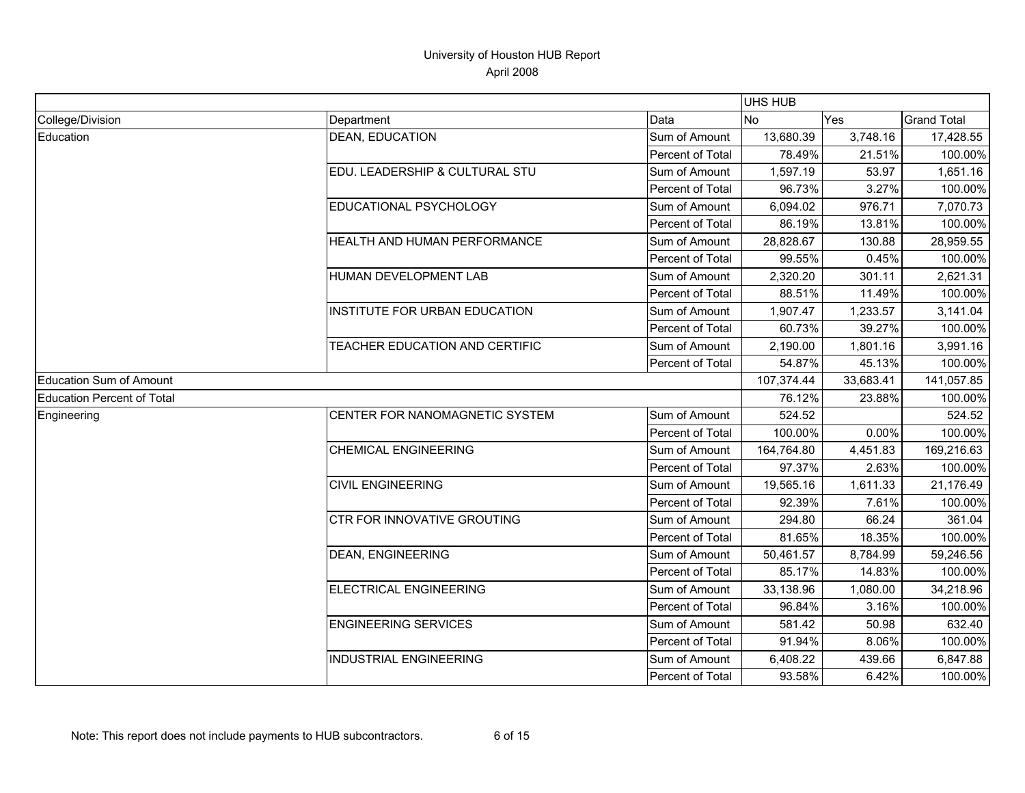|                                   |                                |                         | <b>UHS HUB</b> |            |                    |
|-----------------------------------|--------------------------------|-------------------------|----------------|------------|--------------------|
| College/Division                  | Department                     | Data                    | N <sub>0</sub> | <b>Yes</b> | <b>Grand Total</b> |
| Education                         | <b>DEAN, EDUCATION</b>         | Sum of Amount           | 13,680.39      | 3,748.16   | 17,428.55          |
|                                   |                                | Percent of Total        | 78.49%         | 21.51%     | 100.00%            |
|                                   | EDU. LEADERSHIP & CULTURAL STU | Sum of Amount           | 1,597.19       | 53.97      | 1,651.16           |
|                                   |                                | <b>Percent of Total</b> | 96.73%         | 3.27%      | 100.00%            |
|                                   | EDUCATIONAL PSYCHOLOGY         | Sum of Amount           | 6,094.02       | 976.71     | 7,070.73           |
|                                   |                                | Percent of Total        | 86.19%         | 13.81%     | 100.00%            |
|                                   | HEALTH AND HUMAN PERFORMANCE   | Sum of Amount           | 28,828.67      | 130.88     | 28,959.55          |
|                                   |                                | Percent of Total        | 99.55%         | 0.45%      | 100.00%            |
|                                   | HUMAN DEVELOPMENT LAB          | Sum of Amount           | 2,320.20       | 301.11     | 2,621.31           |
|                                   |                                | Percent of Total        | 88.51%         | 11.49%     | 100.00%            |
|                                   | INSTITUTE FOR URBAN EDUCATION  | Sum of Amount           | 1,907.47       | 1,233.57   | 3,141.04           |
|                                   |                                | Percent of Total        | 60.73%         | 39.27%     | 100.00%            |
|                                   | TEACHER EDUCATION AND CERTIFIC | Sum of Amount           | 2,190.00       | 1,801.16   | 3,991.16           |
|                                   |                                | Percent of Total        | 54.87%         | 45.13%     | 100.00%            |
| <b>Education Sum of Amount</b>    |                                |                         | 107,374.44     | 33,683.41  | 141,057.85         |
| <b>Education Percent of Total</b> |                                |                         | 76.12%         | 23.88%     | 100.00%            |
| Engineering                       | CENTER FOR NANOMAGNETIC SYSTEM | Sum of Amount           | 524.52         |            | 524.52             |
|                                   |                                | <b>Percent of Total</b> | 100.00%        | 0.00%      | 100.00%            |
|                                   | <b>CHEMICAL ENGINEERING</b>    | Sum of Amount           | 164,764.80     | 4,451.83   | 169,216.63         |
|                                   |                                | Percent of Total        | 97.37%         | 2.63%      | 100.00%            |
|                                   | <b>CIVIL ENGINEERING</b>       | Sum of Amount           | 19,565.16      | 1,611.33   | 21,176.49          |
|                                   |                                | Percent of Total        | 92.39%         | 7.61%      | 100.00%            |
|                                   | CTR FOR INNOVATIVE GROUTING    | Sum of Amount           | 294.80         | 66.24      | 361.04             |
|                                   |                                | Percent of Total        | 81.65%         | 18.35%     | 100.00%            |
|                                   | <b>DEAN, ENGINEERING</b>       | Sum of Amount           | 50,461.57      | 8,784.99   | 59,246.56          |
|                                   |                                | Percent of Total        | 85.17%         | 14.83%     | 100.00%            |
|                                   | <b>ELECTRICAL ENGINEERING</b>  | Sum of Amount           | 33,138.96      | 1,080.00   | 34,218.96          |
|                                   |                                | <b>Percent of Total</b> | 96.84%         | 3.16%      | 100.00%            |
|                                   | <b>ENGINEERING SERVICES</b>    | Sum of Amount           | 581.42         | 50.98      | 632.40             |
|                                   |                                | Percent of Total        | 91.94%         | 8.06%      | 100.00%            |
|                                   | <b>INDUSTRIAL ENGINEERING</b>  | Sum of Amount           | 6,408.22       | 439.66     | 6,847.88           |
|                                   |                                | Percent of Total        | 93.58%         | 6.42%      | 100.00%            |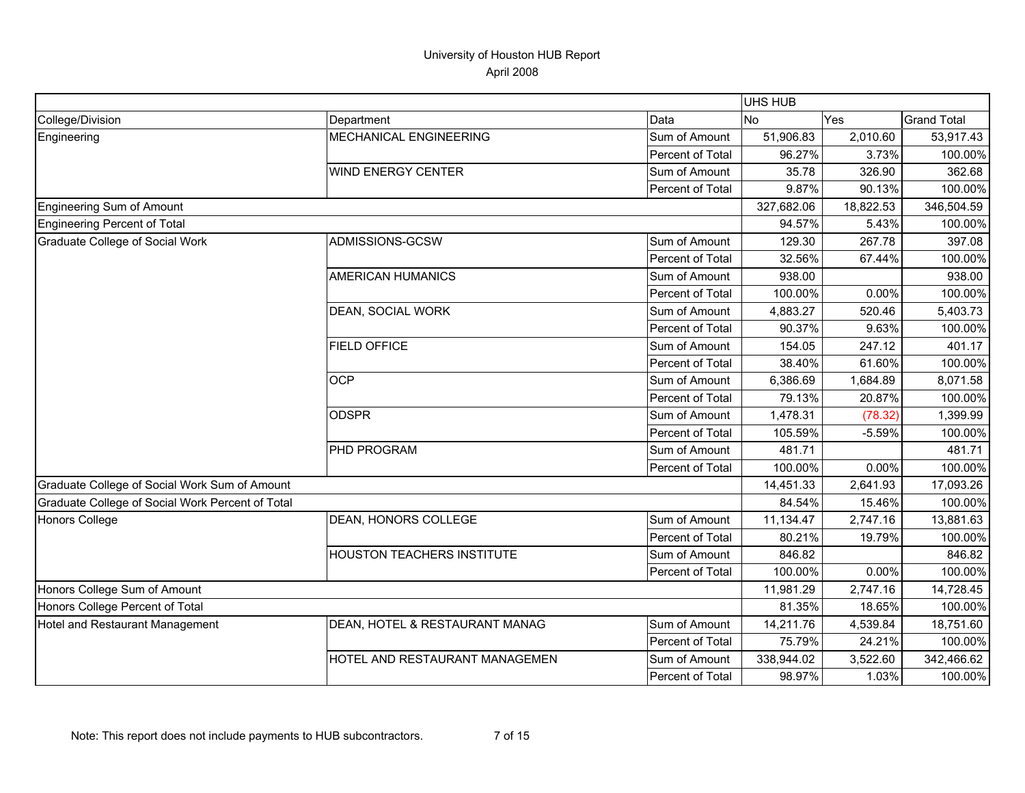|                                                  |                                   |                  | UHS HUB    |           |                    |
|--------------------------------------------------|-----------------------------------|------------------|------------|-----------|--------------------|
| College/Division                                 | Department                        | Data             | <b>No</b>  | Yes       | <b>Grand Total</b> |
| Engineering                                      | MECHANICAL ENGINEERING            | Sum of Amount    | 51,906.83  | 2,010.60  | 53,917.43          |
|                                                  |                                   | Percent of Total | 96.27%     | 3.73%     | 100.00%            |
|                                                  | <b>WIND ENERGY CENTER</b>         | Sum of Amount    | 35.78      | 326.90    | 362.68             |
|                                                  |                                   | Percent of Total | 9.87%      | 90.13%    | 100.00%            |
| <b>Engineering Sum of Amount</b>                 |                                   |                  | 327,682.06 | 18,822.53 | 346,504.59         |
| Engineering Percent of Total                     |                                   |                  | 94.57%     | 5.43%     | 100.00%            |
| Graduate College of Social Work                  | ADMISSIONS-GCSW                   | Sum of Amount    | 129.30     | 267.78    | 397.08             |
|                                                  |                                   | Percent of Total | 32.56%     | 67.44%    | 100.00%            |
|                                                  | <b>AMERICAN HUMANICS</b>          | Sum of Amount    | 938.00     |           | 938.00             |
|                                                  |                                   | Percent of Total | 100.00%    | 0.00%     | 100.00%            |
|                                                  | DEAN, SOCIAL WORK                 | Sum of Amount    | 4,883.27   | 520.46    | 5,403.73           |
|                                                  |                                   | Percent of Total | 90.37%     | 9.63%     | 100.00%            |
|                                                  | <b>FIELD OFFICE</b>               | Sum of Amount    | 154.05     | 247.12    | 401.17             |
|                                                  |                                   | Percent of Total | 38.40%     | 61.60%    | 100.00%            |
|                                                  | <b>OCP</b>                        | Sum of Amount    | 6,386.69   | 1,684.89  | 8,071.58           |
|                                                  |                                   | Percent of Total | 79.13%     | 20.87%    | 100.00%            |
|                                                  | <b>ODSPR</b>                      | Sum of Amount    | 1,478.31   | (78.32)   | 1,399.99           |
|                                                  |                                   | Percent of Total | 105.59%    | $-5.59%$  | 100.00%            |
|                                                  | PHD PROGRAM                       | Sum of Amount    | 481.71     |           | 481.71             |
|                                                  |                                   | Percent of Total | 100.00%    | 0.00%     | 100.00%            |
| Graduate College of Social Work Sum of Amount    |                                   |                  | 14,451.33  | 2,641.93  | 17,093.26          |
| Graduate College of Social Work Percent of Total |                                   |                  | 84.54%     | 15.46%    | 100.00%            |
| <b>Honors College</b>                            | DEAN, HONORS COLLEGE              | Sum of Amount    | 11,134.47  | 2,747.16  | 13,881.63          |
|                                                  |                                   | Percent of Total | 80.21%     | 19.79%    | 100.00%            |
|                                                  | <b>HOUSTON TEACHERS INSTITUTE</b> | Sum of Amount    | 846.82     |           | 846.82             |
|                                                  |                                   | Percent of Total | 100.00%    | 0.00%     | 100.00%            |
| Honors College Sum of Amount                     |                                   |                  | 11,981.29  | 2,747.16  | 14,728.45          |
| Honors College Percent of Total                  |                                   |                  | 81.35%     | 18.65%    | 100.00%            |
| Hotel and Restaurant Management                  | DEAN, HOTEL & RESTAURANT MANAG    | Sum of Amount    | 14,211.76  | 4,539.84  | 18,751.60          |
|                                                  |                                   | Percent of Total | 75.79%     | 24.21%    | 100.00%            |
|                                                  | HOTEL AND RESTAURANT MANAGEMEN    | Sum of Amount    | 338,944.02 | 3,522.60  | 342,466.62         |
|                                                  |                                   | Percent of Total | 98.97%     | 1.03%     | 100.00%            |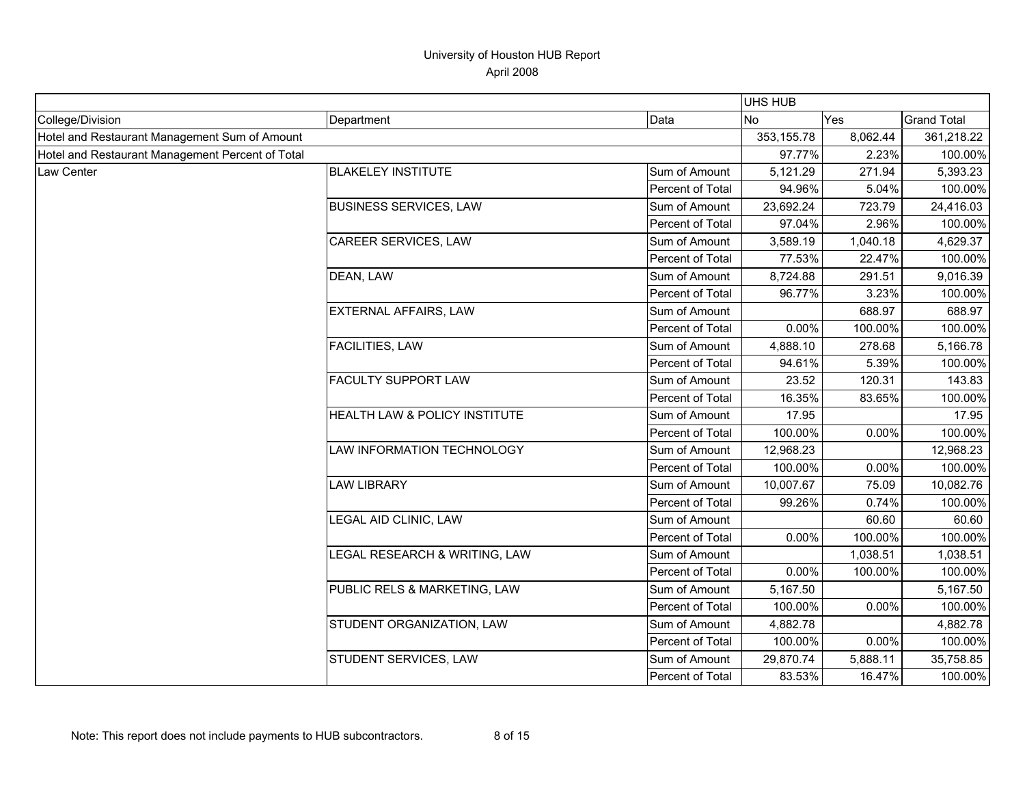|                                                  |                               |                  | <b>UHS HUB</b> |          |                    |
|--------------------------------------------------|-------------------------------|------------------|----------------|----------|--------------------|
| College/Division                                 | Department                    | Data             | <b>No</b>      | Yes      | <b>Grand Total</b> |
| Hotel and Restaurant Management Sum of Amount    |                               |                  | 353, 155.78    | 8,062.44 | 361,218.22         |
| Hotel and Restaurant Management Percent of Total |                               | 97.77%           | 2.23%          | 100.00%  |                    |
| Law Center                                       | <b>BLAKELEY INSTITUTE</b>     | Sum of Amount    | 5,121.29       | 271.94   | 5,393.23           |
|                                                  |                               | Percent of Total | 94.96%         | 5.04%    | 100.00%            |
|                                                  | <b>BUSINESS SERVICES, LAW</b> | Sum of Amount    | 23,692.24      | 723.79   | 24,416.03          |
|                                                  |                               | Percent of Total | 97.04%         | 2.96%    | 100.00%            |
|                                                  | CAREER SERVICES, LAW          | Sum of Amount    | 3,589.19       | 1,040.18 | 4,629.37           |
|                                                  |                               | Percent of Total | 77.53%         | 22.47%   | 100.00%            |
|                                                  | DEAN, LAW                     | Sum of Amount    | 8,724.88       | 291.51   | 9,016.39           |
|                                                  |                               | Percent of Total | 96.77%         | 3.23%    | 100.00%            |
|                                                  | <b>EXTERNAL AFFAIRS, LAW</b>  | Sum of Amount    |                | 688.97   | 688.97             |
|                                                  |                               | Percent of Total | 0.00%          | 100.00%  | 100.00%            |
|                                                  | <b>FACILITIES, LAW</b>        | Sum of Amount    | 4,888.10       | 278.68   | 5,166.78           |
|                                                  |                               | Percent of Total | 94.61%         | 5.39%    | 100.00%            |
|                                                  | FACULTY SUPPORT LAW           | Sum of Amount    | 23.52          | 120.31   | 143.83             |
|                                                  |                               | Percent of Total | 16.35%         | 83.65%   | 100.00%            |
|                                                  | HEALTH LAW & POLICY INSTITUTE | Sum of Amount    | 17.95          |          | 17.95              |
|                                                  |                               | Percent of Total | 100.00%        | 0.00%    | 100.00%            |
|                                                  | LAW INFORMATION TECHNOLOGY    | Sum of Amount    | 12,968.23      |          | 12,968.23          |
|                                                  |                               | Percent of Total | 100.00%        | 0.00%    | 100.00%            |
|                                                  | <b>LAW LIBRARY</b>            | Sum of Amount    | 10,007.67      | 75.09    | 10,082.76          |
|                                                  |                               | Percent of Total | 99.26%         | 0.74%    | 100.00%            |
|                                                  | LEGAL AID CLINIC, LAW         | Sum of Amount    |                | 60.60    | 60.60              |
|                                                  |                               | Percent of Total | 0.00%          | 100.00%  | 100.00%            |
|                                                  | LEGAL RESEARCH & WRITING, LAW | Sum of Amount    |                | 1,038.51 | 1,038.51           |
|                                                  |                               | Percent of Total | 0.00%          | 100.00%  | 100.00%            |
|                                                  | PUBLIC RELS & MARKETING, LAW  | Sum of Amount    | 5,167.50       |          | 5,167.50           |
|                                                  |                               | Percent of Total | 100.00%        | 0.00%    | 100.00%            |
|                                                  | STUDENT ORGANIZATION, LAW     | Sum of Amount    | 4,882.78       |          | 4,882.78           |
|                                                  |                               | Percent of Total | 100.00%        | 0.00%    | 100.00%            |
|                                                  | STUDENT SERVICES, LAW         | Sum of Amount    | 29,870.74      | 5,888.11 | 35,758.85          |
|                                                  |                               | Percent of Total | 83.53%         | 16.47%   | 100.00%            |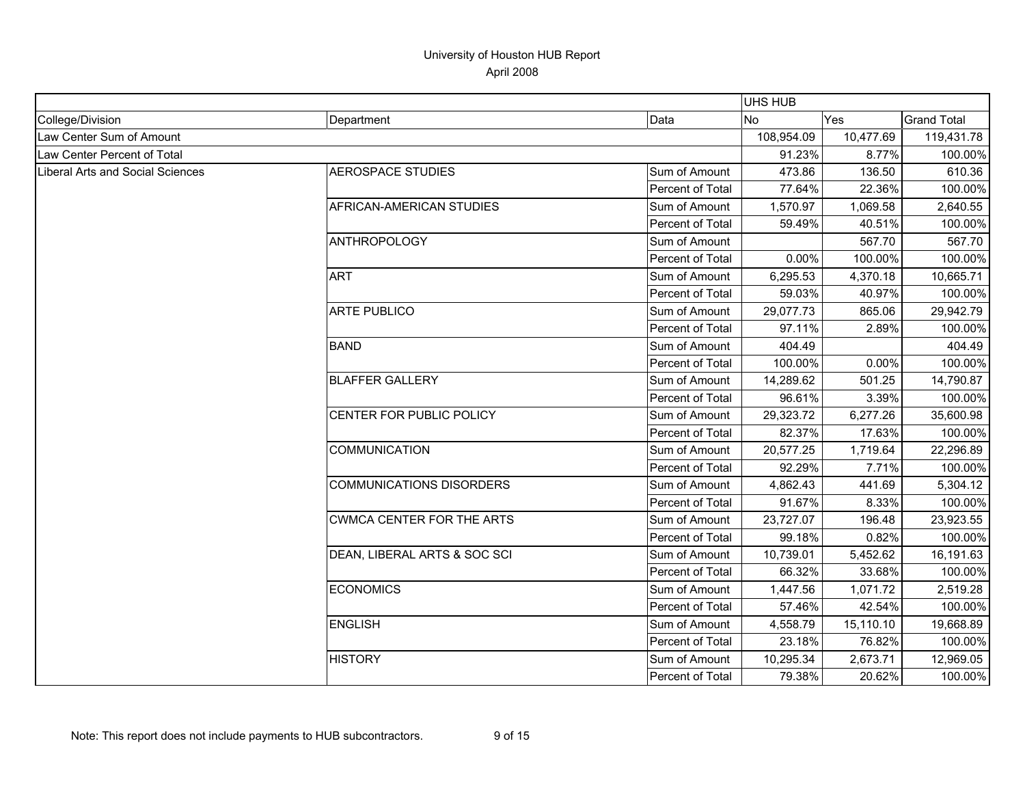|                                         |                                  |                         | <b>UHS HUB</b> |           |                    |
|-----------------------------------------|----------------------------------|-------------------------|----------------|-----------|--------------------|
| College/Division                        | Department                       | Data                    | No             | Yes       | <b>Grand Total</b> |
| Law Center Sum of Amount                |                                  |                         | 108,954.09     | 10,477.69 | 119,431.78         |
| Law Center Percent of Total             |                                  |                         | 91.23%         | 8.77%     | 100.00%            |
| <b>Liberal Arts and Social Sciences</b> | <b>AEROSPACE STUDIES</b>         | Sum of Amount           | 473.86         | 136.50    | 610.36             |
|                                         |                                  | Percent of Total        | 77.64%         | 22.36%    | 100.00%            |
|                                         | AFRICAN-AMERICAN STUDIES         | Sum of Amount           | 1,570.97       | 1,069.58  | 2,640.55           |
|                                         |                                  | Percent of Total        | 59.49%         | 40.51%    | 100.00%            |
|                                         | <b>ANTHROPOLOGY</b>              | Sum of Amount           |                | 567.70    | 567.70             |
|                                         |                                  | Percent of Total        | 0.00%          | 100.00%   | 100.00%            |
|                                         | <b>ART</b>                       | Sum of Amount           | 6,295.53       | 4,370.18  | 10,665.71          |
|                                         |                                  | Percent of Total        | 59.03%         | 40.97%    | 100.00%            |
|                                         | <b>ARTE PUBLICO</b>              | Sum of Amount           | 29,077.73      | 865.06    | 29,942.79          |
|                                         |                                  | Percent of Total        | 97.11%         | 2.89%     | 100.00%            |
|                                         | <b>BAND</b>                      | Sum of Amount           | 404.49         |           | 404.49             |
|                                         |                                  | Percent of Total        | 100.00%        | 0.00%     | 100.00%            |
|                                         | <b>BLAFFER GALLERY</b>           | Sum of Amount           | 14,289.62      | 501.25    | 14,790.87          |
|                                         |                                  | Percent of Total        | 96.61%         | 3.39%     | 100.00%            |
|                                         | CENTER FOR PUBLIC POLICY         | Sum of Amount           | 29,323.72      | 6,277.26  | 35,600.98          |
|                                         |                                  | <b>Percent of Total</b> | 82.37%         | 17.63%    | 100.00%            |
|                                         | <b>COMMUNICATION</b>             | Sum of Amount           | 20,577.25      | 1,719.64  | 22,296.89          |
|                                         |                                  | Percent of Total        | 92.29%         | 7.71%     | 100.00%            |
|                                         | <b>COMMUNICATIONS DISORDERS</b>  | Sum of Amount           | 4,862.43       | 441.69    | 5,304.12           |
|                                         |                                  | Percent of Total        | 91.67%         | 8.33%     | 100.00%            |
|                                         | <b>CWMCA CENTER FOR THE ARTS</b> | Sum of Amount           | 23,727.07      | 196.48    | 23,923.55          |
|                                         |                                  | Percent of Total        | 99.18%         | 0.82%     | 100.00%            |
|                                         | DEAN, LIBERAL ARTS & SOC SCI     | Sum of Amount           | 10,739.01      | 5,452.62  | 16,191.63          |
|                                         |                                  | Percent of Total        | 66.32%         | 33.68%    | 100.00%            |
|                                         | <b>ECONOMICS</b>                 | Sum of Amount           | 1,447.56       | 1,071.72  | 2,519.28           |
|                                         |                                  | Percent of Total        | 57.46%         | 42.54%    | 100.00%            |
|                                         | <b>ENGLISH</b>                   | Sum of Amount           | 4,558.79       | 15,110.10 | 19,668.89          |
|                                         |                                  | Percent of Total        | 23.18%         | 76.82%    | 100.00%            |
|                                         | <b>HISTORY</b>                   | Sum of Amount           | 10,295.34      | 2,673.71  | 12,969.05          |
|                                         |                                  | Percent of Total        | 79.38%         | 20.62%    | 100.00%            |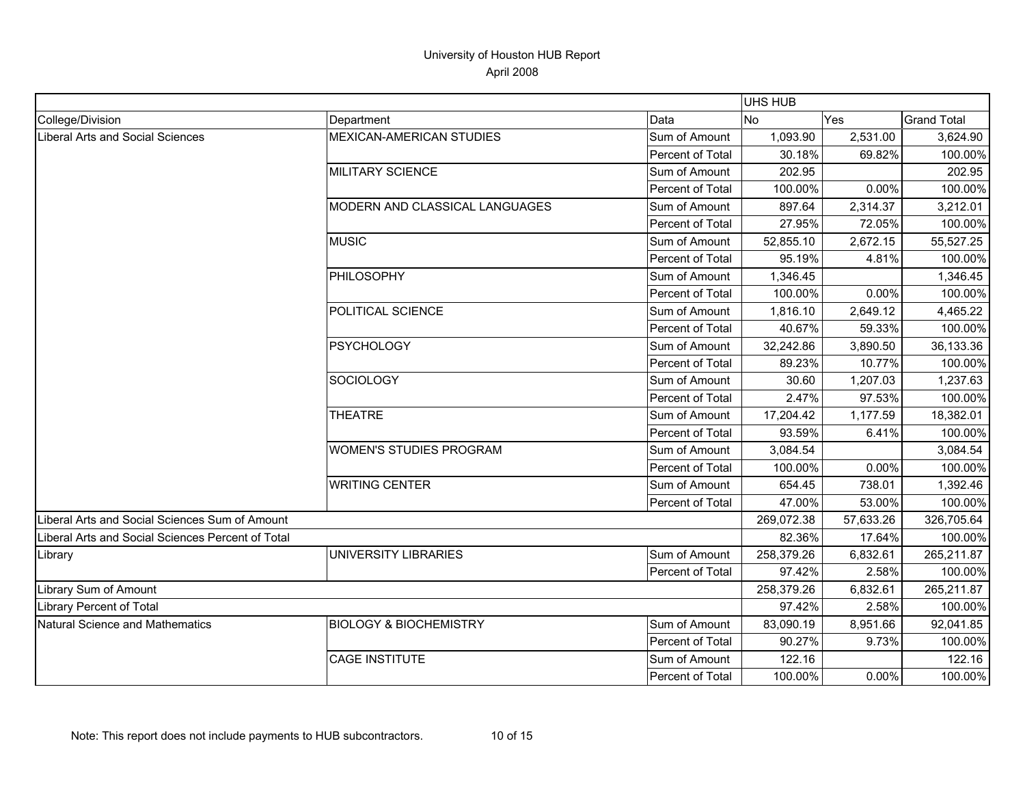|                                                   |                                   |                  | <b>UHS HUB</b> |           |                    |
|---------------------------------------------------|-----------------------------------|------------------|----------------|-----------|--------------------|
| College/Division                                  | Department                        | Data             | <b>No</b>      | Yes       | <b>Grand Total</b> |
| <b>Liberal Arts and Social Sciences</b>           | <b>MEXICAN-AMERICAN STUDIES</b>   | Sum of Amount    | 1,093.90       | 2,531.00  | 3,624.90           |
|                                                   |                                   | Percent of Total | 30.18%         | 69.82%    | 100.00%            |
|                                                   | <b>MILITARY SCIENCE</b>           | Sum of Amount    | 202.95         |           | 202.95             |
|                                                   |                                   | Percent of Total | 100.00%        | 0.00%     | 100.00%            |
|                                                   | MODERN AND CLASSICAL LANGUAGES    | Sum of Amount    | 897.64         | 2,314.37  | 3,212.01           |
|                                                   |                                   | Percent of Total | 27.95%         | 72.05%    | 100.00%            |
|                                                   | <b>MUSIC</b>                      | Sum of Amount    | 52,855.10      | 2,672.15  | 55,527.25          |
|                                                   |                                   | Percent of Total | 95.19%         | 4.81%     | 100.00%            |
|                                                   | PHILOSOPHY                        | Sum of Amount    | 1,346.45       |           | 1,346.45           |
|                                                   |                                   | Percent of Total | 100.00%        | 0.00%     | 100.00%            |
|                                                   | POLITICAL SCIENCE                 | Sum of Amount    | 1,816.10       | 2,649.12  | 4,465.22           |
|                                                   |                                   | Percent of Total | 40.67%         | 59.33%    | 100.00%            |
|                                                   | <b>PSYCHOLOGY</b>                 | Sum of Amount    | 32,242.86      | 3,890.50  | 36,133.36          |
|                                                   |                                   | Percent of Total | 89.23%         | 10.77%    | 100.00%            |
|                                                   | <b>SOCIOLOGY</b>                  | Sum of Amount    | 30.60          | 1,207.03  | 1,237.63           |
|                                                   |                                   | Percent of Total | 2.47%          | 97.53%    | 100.00%            |
|                                                   | <b>THEATRE</b>                    | Sum of Amount    | 17,204.42      | 1,177.59  | 18,382.01          |
|                                                   |                                   | Percent of Total | 93.59%         | 6.41%     | 100.00%            |
|                                                   | <b>WOMEN'S STUDIES PROGRAM</b>    | Sum of Amount    | 3,084.54       |           | 3,084.54           |
|                                                   |                                   | Percent of Total | 100.00%        | 0.00%     | 100.00%            |
|                                                   | <b>WRITING CENTER</b>             | Sum of Amount    | 654.45         | 738.01    | 1,392.46           |
|                                                   |                                   | Percent of Total | 47.00%         | 53.00%    | 100.00%            |
| Liberal Arts and Social Sciences Sum of Amount    |                                   |                  | 269,072.38     | 57,633.26 | 326,705.64         |
| Liberal Arts and Social Sciences Percent of Total |                                   |                  | 82.36%         | 17.64%    | 100.00%            |
| Library                                           | UNIVERSITY LIBRARIES              | Sum of Amount    | 258,379.26     | 6,832.61  | 265,211.87         |
|                                                   |                                   | Percent of Total | 97.42%         | 2.58%     | 100.00%            |
| Library Sum of Amount                             |                                   |                  | 258,379.26     | 6,832.61  | 265,211.87         |
| Library Percent of Total                          |                                   |                  | 97.42%         | 2.58%     | 100.00%            |
| <b>Natural Science and Mathematics</b>            | <b>BIOLOGY &amp; BIOCHEMISTRY</b> | Sum of Amount    | 83,090.19      | 8,951.66  | 92,041.85          |
|                                                   |                                   | Percent of Total | 90.27%         | 9.73%     | 100.00%            |
|                                                   | <b>CAGE INSTITUTE</b>             | Sum of Amount    | 122.16         |           | 122.16             |
|                                                   |                                   | Percent of Total | 100.00%        | 0.00%     | 100.00%            |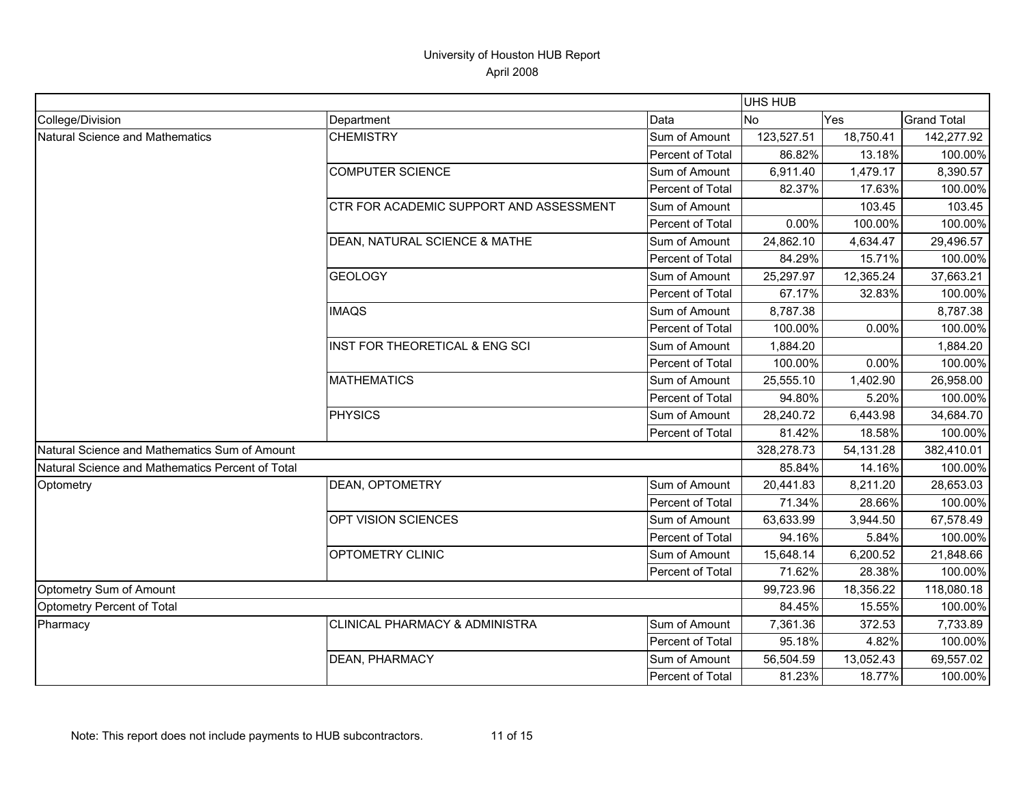|                                                  |                                           |                         | UHS HUB    |           |                    |
|--------------------------------------------------|-------------------------------------------|-------------------------|------------|-----------|--------------------|
| College/Division                                 | Department                                | Data                    | <b>INo</b> | Yes       | <b>Grand Total</b> |
| Natural Science and Mathematics                  | <b>CHEMISTRY</b>                          | Sum of Amount           | 123,527.51 | 18,750.41 | 142,277.92         |
|                                                  |                                           | Percent of Total        | 86.82%     | 13.18%    | 100.00%            |
|                                                  | <b>COMPUTER SCIENCE</b>                   | Sum of Amount           | 6,911.40   | 1,479.17  | 8,390.57           |
|                                                  |                                           | Percent of Total        | 82.37%     | 17.63%    | 100.00%            |
|                                                  | CTR FOR ACADEMIC SUPPORT AND ASSESSMENT   | Sum of Amount           |            | 103.45    | 103.45             |
|                                                  |                                           | <b>Percent of Total</b> | 0.00%      | 100.00%   | 100.00%            |
|                                                  | DEAN, NATURAL SCIENCE & MATHE             | Sum of Amount           | 24,862.10  | 4,634.47  | 29,496.57          |
|                                                  |                                           | Percent of Total        | 84.29%     | 15.71%    | 100.00%            |
|                                                  | <b>GEOLOGY</b>                            | Sum of Amount           | 25,297.97  | 12,365.24 | 37,663.21          |
|                                                  |                                           | Percent of Total        | 67.17%     | 32.83%    | 100.00%            |
|                                                  | <b>IMAQS</b>                              | Sum of Amount           | 8,787.38   |           | 8,787.38           |
|                                                  |                                           | Percent of Total        | 100.00%    | 0.00%     | 100.00%            |
|                                                  | INST FOR THEORETICAL & ENG SCI            | Sum of Amount           | 1,884.20   |           | 1,884.20           |
|                                                  |                                           | Percent of Total        | 100.00%    | 0.00%     | 100.00%            |
|                                                  | <b>MATHEMATICS</b>                        | Sum of Amount           | 25,555.10  | 1,402.90  | 26,958.00          |
|                                                  |                                           | Percent of Total        | 94.80%     | 5.20%     | 100.00%            |
|                                                  | <b>PHYSICS</b>                            | Sum of Amount           | 28,240.72  | 6,443.98  | 34,684.70          |
|                                                  |                                           | Percent of Total        | 81.42%     | 18.58%    | 100.00%            |
| Natural Science and Mathematics Sum of Amount    |                                           |                         | 328,278.73 | 54,131.28 | 382,410.01         |
| Natural Science and Mathematics Percent of Total |                                           |                         | 85.84%     | 14.16%    | 100.00%            |
| Optometry                                        | <b>DEAN, OPTOMETRY</b>                    | Sum of Amount           | 20,441.83  | 8,211.20  | 28,653.03          |
|                                                  |                                           | Percent of Total        | 71.34%     | 28.66%    | 100.00%            |
|                                                  | OPT VISION SCIENCES                       | Sum of Amount           | 63,633.99  | 3,944.50  | 67,578.49          |
|                                                  |                                           | Percent of Total        | 94.16%     | 5.84%     | 100.00%            |
|                                                  | OPTOMETRY CLINIC                          | Sum of Amount           | 15,648.14  | 6,200.52  | 21,848.66          |
|                                                  |                                           | Percent of Total        | 71.62%     | 28.38%    | 100.00%            |
| Optometry Sum of Amount                          |                                           |                         | 99,723.96  | 18,356.22 | 118,080.18         |
| Optometry Percent of Total                       |                                           |                         | 84.45%     | 15.55%    | 100.00%            |
| Pharmacy                                         | <b>CLINICAL PHARMACY &amp; ADMINISTRA</b> | Sum of Amount           | 7,361.36   | 372.53    | 7,733.89           |
|                                                  |                                           | Percent of Total        | 95.18%     | 4.82%     | 100.00%            |
|                                                  | <b>DEAN, PHARMACY</b>                     | Sum of Amount           | 56,504.59  | 13,052.43 | 69,557.02          |
|                                                  |                                           | <b>Percent of Total</b> | 81.23%     | 18.77%    | 100.00%            |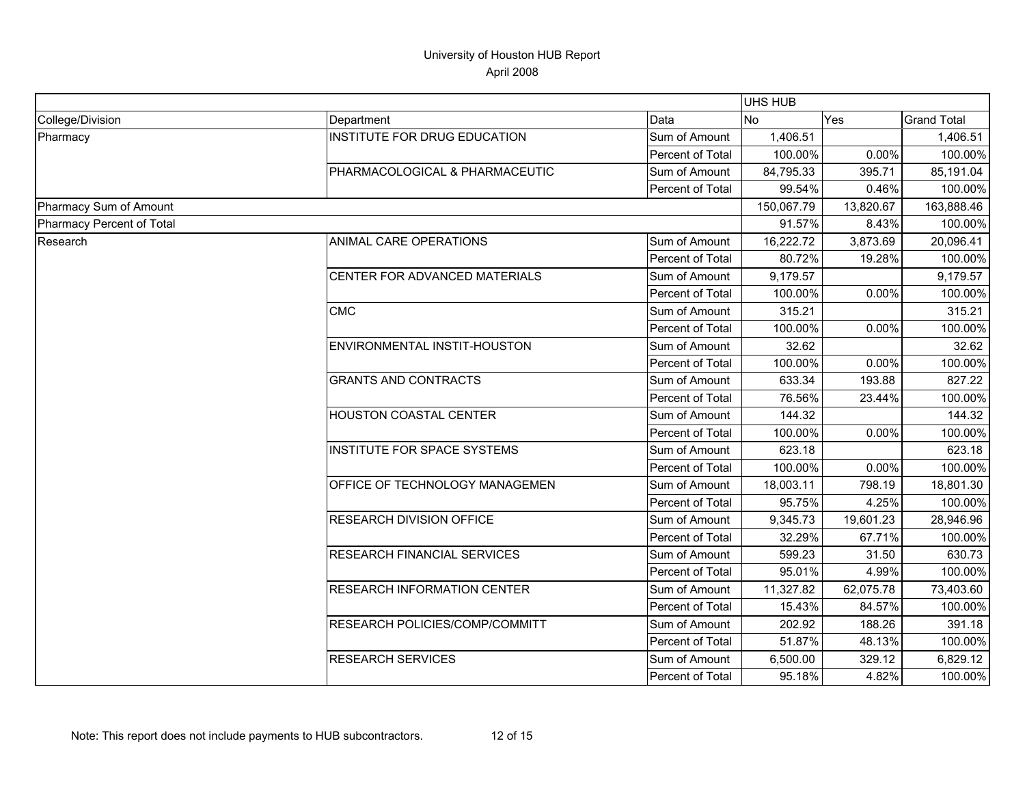|                           |                                    |                  | <b>UHS HUB</b> |           |                    |
|---------------------------|------------------------------------|------------------|----------------|-----------|--------------------|
| College/Division          | Department                         | Data             | No.            | Yes       | <b>Grand Total</b> |
| Pharmacy                  | INSTITUTE FOR DRUG EDUCATION       | Sum of Amount    | 1,406.51       |           | 1,406.51           |
|                           |                                    | Percent of Total | 100.00%        | 0.00%     | 100.00%            |
|                           | PHARMACOLOGICAL & PHARMACEUTIC     | Sum of Amount    | 84,795.33      | 395.71    | 85,191.04          |
|                           |                                    | Percent of Total | 99.54%         | 0.46%     | 100.00%            |
| Pharmacy Sum of Amount    |                                    |                  | 150,067.79     | 13,820.67 | 163,888.46         |
| Pharmacy Percent of Total |                                    |                  | 91.57%         | 8.43%     | 100.00%            |
| Research                  | ANIMAL CARE OPERATIONS             | Sum of Amount    | 16,222.72      | 3,873.69  | 20,096.41          |
|                           |                                    | Percent of Total | 80.72%         | 19.28%    | 100.00%            |
|                           | CENTER FOR ADVANCED MATERIALS      | Sum of Amount    | 9,179.57       |           | 9,179.57           |
|                           |                                    | Percent of Total | 100.00%        | 0.00%     | 100.00%            |
|                           | <b>CMC</b>                         | Sum of Amount    | 315.21         |           | 315.21             |
|                           |                                    | Percent of Total | 100.00%        | 0.00%     | 100.00%            |
|                           | ENVIRONMENTAL INSTIT-HOUSTON       | Sum of Amount    | 32.62          |           | 32.62              |
|                           |                                    | Percent of Total | 100.00%        | 0.00%     | 100.00%            |
|                           | <b>GRANTS AND CONTRACTS</b>        | Sum of Amount    | 633.34         | 193.88    | 827.22             |
|                           |                                    | Percent of Total | 76.56%         | 23.44%    | 100.00%            |
|                           | <b>HOUSTON COASTAL CENTER</b>      | Sum of Amount    | 144.32         |           | 144.32             |
|                           |                                    | Percent of Total | 100.00%        | 0.00%     | 100.00%            |
|                           | INSTITUTE FOR SPACE SYSTEMS        | Sum of Amount    | 623.18         |           | 623.18             |
|                           |                                    | Percent of Total | 100.00%        | 0.00%     | 100.00%            |
|                           | OFFICE OF TECHNOLOGY MANAGEMEN     | Sum of Amount    | 18,003.11      | 798.19    | 18,801.30          |
|                           |                                    | Percent of Total | 95.75%         | 4.25%     | 100.00%            |
|                           | <b>RESEARCH DIVISION OFFICE</b>    | Sum of Amount    | 9,345.73       | 19,601.23 | 28,946.96          |
|                           |                                    | Percent of Total | 32.29%         | 67.71%    | 100.00%            |
|                           | <b>RESEARCH FINANCIAL SERVICES</b> | Sum of Amount    | 599.23         | 31.50     | 630.73             |
|                           |                                    | Percent of Total | 95.01%         | 4.99%     | 100.00%            |
|                           | <b>RESEARCH INFORMATION CENTER</b> | Sum of Amount    | 11,327.82      | 62,075.78 | 73,403.60          |
|                           |                                    | Percent of Total | 15.43%         | 84.57%    | 100.00%            |
|                           | RESEARCH POLICIES/COMP/COMMITT     | Sum of Amount    | 202.92         | 188.26    | 391.18             |
|                           |                                    | Percent of Total | 51.87%         | 48.13%    | 100.00%            |
|                           | <b>RESEARCH SERVICES</b>           | Sum of Amount    | 6,500.00       | 329.12    | 6,829.12           |
|                           |                                    | Percent of Total | 95.18%         | 4.82%     | 100.00%            |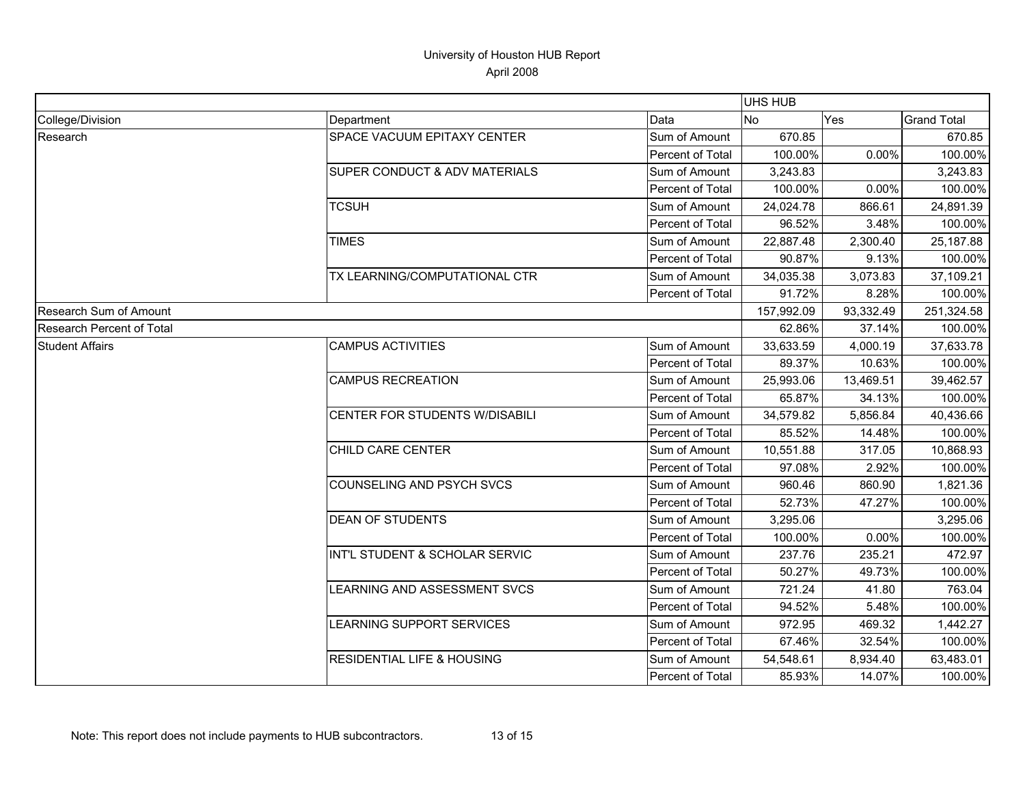|                           |                                       |                         | <b>UHS HUB</b> |           |                    |
|---------------------------|---------------------------------------|-------------------------|----------------|-----------|--------------------|
| College/Division          | Department                            | Data                    | <b>No</b>      | Yes       | <b>Grand Total</b> |
| Research                  | SPACE VACUUM EPITAXY CENTER           | Sum of Amount           | 670.85         |           | 670.85             |
|                           |                                       | Percent of Total        | 100.00%        | 0.00%     | 100.00%            |
|                           | SUPER CONDUCT & ADV MATERIALS         | Sum of Amount           | 3,243.83       |           | 3,243.83           |
|                           |                                       | <b>Percent of Total</b> | 100.00%        | 0.00%     | 100.00%            |
|                           | <b>TCSUH</b>                          | Sum of Amount           | 24,024.78      | 866.61    | 24,891.39          |
|                           |                                       | Percent of Total        | 96.52%         | 3.48%     | 100.00%            |
|                           | <b>TIMES</b>                          | Sum of Amount           | 22,887.48      | 2,300.40  | 25,187.88          |
|                           |                                       | Percent of Total        | 90.87%         | 9.13%     | 100.00%            |
|                           | TX LEARNING/COMPUTATIONAL CTR         | Sum of Amount           | 34,035.38      | 3,073.83  | 37,109.21          |
|                           |                                       | Percent of Total        | 91.72%         | 8.28%     | 100.00%            |
| Research Sum of Amount    |                                       |                         | 157,992.09     | 93,332.49 | 251,324.58         |
| Research Percent of Total |                                       |                         | 62.86%         | 37.14%    | 100.00%            |
| <b>Student Affairs</b>    | <b>CAMPUS ACTIVITIES</b>              | Sum of Amount           | 33,633.59      | 4,000.19  | 37,633.78          |
|                           |                                       | Percent of Total        | 89.37%         | 10.63%    | 100.00%            |
|                           | <b>CAMPUS RECREATION</b>              | Sum of Amount           | 25,993.06      | 13,469.51 | 39,462.57          |
|                           |                                       | Percent of Total        | 65.87%         | 34.13%    | 100.00%            |
|                           | CENTER FOR STUDENTS W/DISABILI        | Sum of Amount           | 34,579.82      | 5,856.84  | 40,436.66          |
|                           |                                       | Percent of Total        | 85.52%         | 14.48%    | 100.00%            |
|                           | CHILD CARE CENTER                     | Sum of Amount           | 10,551.88      | 317.05    | 10,868.93          |
|                           |                                       | Percent of Total        | 97.08%         | 2.92%     | 100.00%            |
|                           | COUNSELING AND PSYCH SVCS             | Sum of Amount           | 960.46         | 860.90    | 1,821.36           |
|                           |                                       | Percent of Total        | 52.73%         | 47.27%    | 100.00%            |
|                           | <b>DEAN OF STUDENTS</b>               | Sum of Amount           | 3,295.06       |           | 3,295.06           |
|                           |                                       | Percent of Total        | 100.00%        | 0.00%     | 100.00%            |
|                           | INT'L STUDENT & SCHOLAR SERVIC        | Sum of Amount           | 237.76         | 235.21    | 472.97             |
|                           |                                       | Percent of Total        | 50.27%         | 49.73%    | 100.00%            |
|                           | LEARNING AND ASSESSMENT SVCS          | Sum of Amount           | 721.24         | 41.80     | 763.04             |
|                           |                                       | Percent of Total        | 94.52%         | 5.48%     | 100.00%            |
|                           | <b>LEARNING SUPPORT SERVICES</b>      | Sum of Amount           | 972.95         | 469.32    | 1,442.27           |
|                           |                                       | Percent of Total        | 67.46%         | 32.54%    | 100.00%            |
|                           | <b>RESIDENTIAL LIFE &amp; HOUSING</b> | Sum of Amount           | 54,548.61      | 8,934.40  | 63,483.01          |
|                           |                                       | Percent of Total        | 85.93%         | 14.07%    | 100.00%            |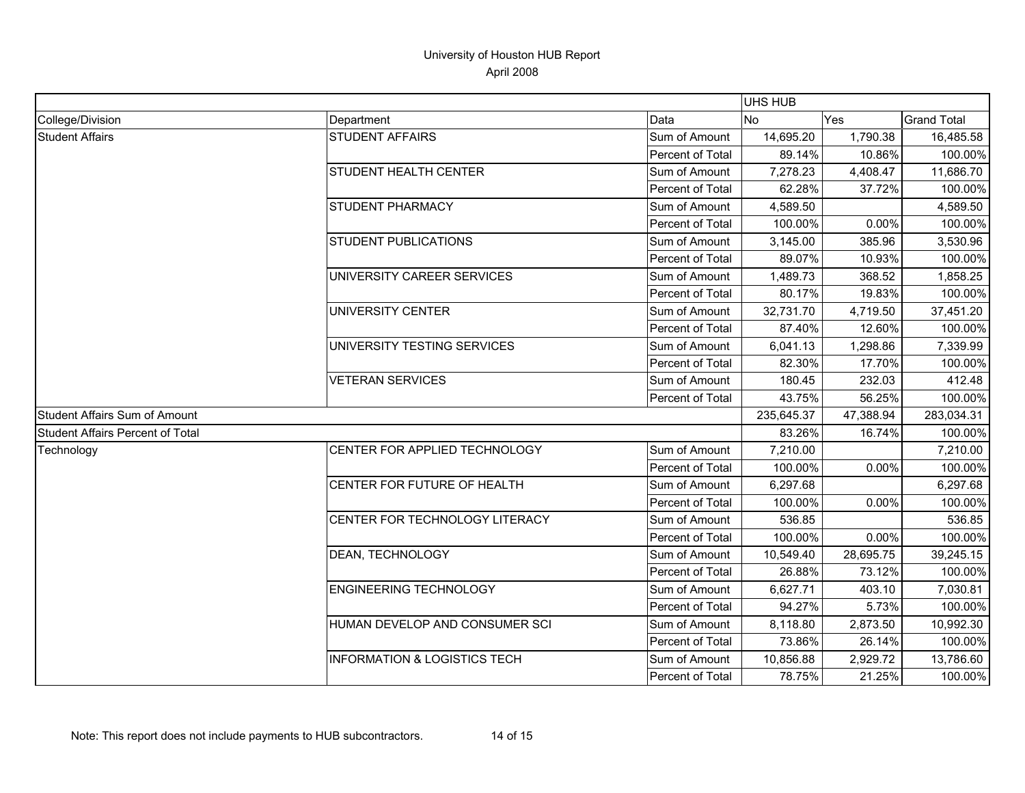|                                         |                                         |                         | <b>UHS HUB</b> |           |                    |
|-----------------------------------------|-----------------------------------------|-------------------------|----------------|-----------|--------------------|
| College/Division                        | Department                              | Data                    | INo.           | Yes       | <b>Grand Total</b> |
| <b>Student Affairs</b>                  | <b>STUDENT AFFAIRS</b>                  | Sum of Amount           | 14,695.20      | 1,790.38  | 16,485.58          |
|                                         |                                         | Percent of Total        | 89.14%         | 10.86%    | 100.00%            |
|                                         | STUDENT HEALTH CENTER                   | Sum of Amount           | 7,278.23       | 4,408.47  | 11,686.70          |
|                                         |                                         | Percent of Total        | 62.28%         | 37.72%    | 100.00%            |
|                                         | STUDENT PHARMACY                        | Sum of Amount           | 4,589.50       |           | 4,589.50           |
|                                         |                                         | <b>Percent of Total</b> | 100.00%        | 0.00%     | 100.00%            |
|                                         | <b>STUDENT PUBLICATIONS</b>             | Sum of Amount           | 3,145.00       | 385.96    | 3,530.96           |
|                                         |                                         | Percent of Total        | 89.07%         | 10.93%    | 100.00%            |
|                                         | UNIVERSITY CAREER SERVICES              | Sum of Amount           | 1,489.73       | 368.52    | 1,858.25           |
|                                         |                                         | Percent of Total        | 80.17%         | 19.83%    | 100.00%            |
|                                         | UNIVERSITY CENTER                       | Sum of Amount           | 32,731.70      | 4,719.50  | 37,451.20          |
|                                         |                                         | Percent of Total        | 87.40%         | 12.60%    | 100.00%            |
|                                         | UNIVERSITY TESTING SERVICES             | Sum of Amount           | 6,041.13       | 1,298.86  | 7,339.99           |
|                                         |                                         | Percent of Total        | 82.30%         | 17.70%    | 100.00%            |
|                                         | <b>VETERAN SERVICES</b>                 | Sum of Amount           | 180.45         | 232.03    | 412.48             |
|                                         |                                         | Percent of Total        | 43.75%         | 56.25%    | 100.00%            |
| Student Affairs Sum of Amount           |                                         |                         | 235,645.37     | 47,388.94 | 283,034.31         |
| <b>Student Affairs Percent of Total</b> |                                         |                         | 83.26%         | 16.74%    | 100.00%            |
| Technology                              | CENTER FOR APPLIED TECHNOLOGY           | Sum of Amount           | 7,210.00       |           | 7,210.00           |
|                                         |                                         | Percent of Total        | 100.00%        | 0.00%     | 100.00%            |
|                                         | CENTER FOR FUTURE OF HEALTH             | Sum of Amount           | 6,297.68       |           | 6,297.68           |
|                                         |                                         | Percent of Total        | 100.00%        | 0.00%     | 100.00%            |
|                                         | CENTER FOR TECHNOLOGY LITERACY          | Sum of Amount           | 536.85         |           | 536.85             |
|                                         |                                         | Percent of Total        | 100.00%        | 0.00%     | 100.00%            |
|                                         | DEAN, TECHNOLOGY                        | Sum of Amount           | 10,549.40      | 28,695.75 | 39,245.15          |
|                                         |                                         | Percent of Total        | 26.88%         | 73.12%    | 100.00%            |
|                                         | <b>ENGINEERING TECHNOLOGY</b>           | Sum of Amount           | 6,627.71       | 403.10    | 7,030.81           |
|                                         |                                         | Percent of Total        | 94.27%         | 5.73%     | 100.00%            |
|                                         | HUMAN DEVELOP AND CONSUMER SCI          | Sum of Amount           | 8,118.80       | 2,873.50  | 10,992.30          |
|                                         |                                         | Percent of Total        | 73.86%         | 26.14%    | 100.00%            |
|                                         | <b>INFORMATION &amp; LOGISTICS TECH</b> | Sum of Amount           | 10,856.88      | 2,929.72  | 13,786.60          |
|                                         |                                         | Percent of Total        | 78.75%         | 21.25%    | 100.00%            |